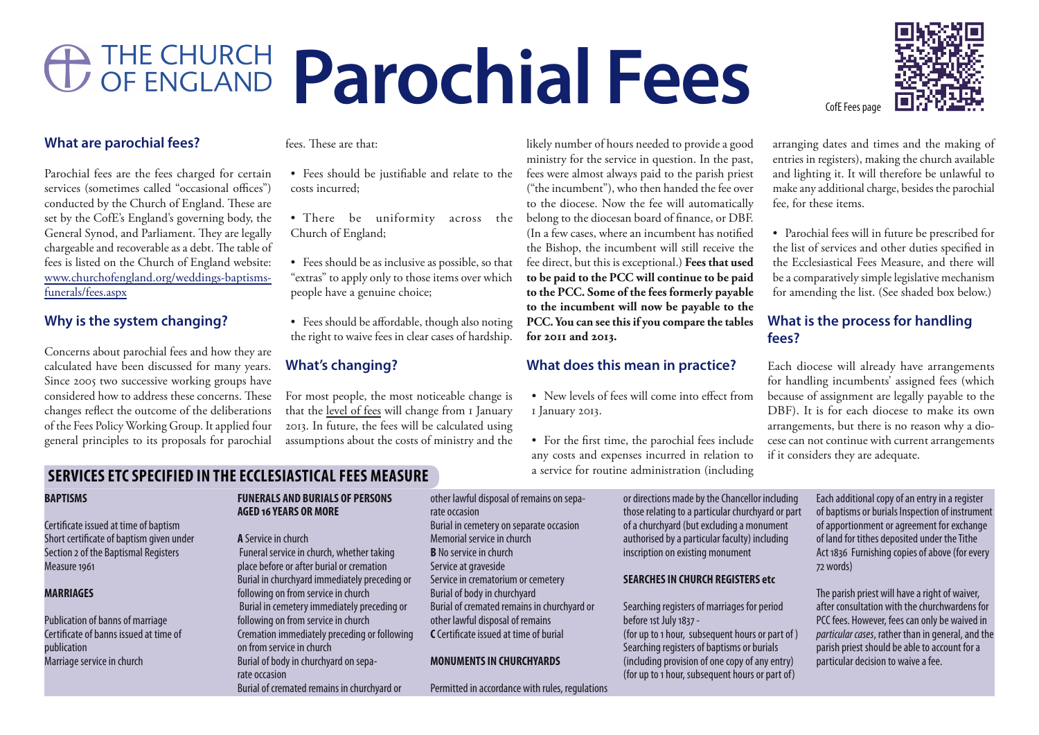# **Parochial Fees**

## **What are parochial fees?**

Parochial fees are the fees charged for certain services (sometimes called "occasional offices") conducted by the Church of England. These are set by the CofE's England's governing body, the General Synod, and Parliament. They are legally chargeable and recoverable as a debt. The table of fees is listed on the Church of England website: www.churchofengland.org/weddings-baptismsfunerals/fees.aspx

# **Why is the system changing?**

Concerns about parochial fees and how they are calculated have been discussed for many years. Since 2005 two successive working groups have considered how to address these concerns. These changes reflect the outcome of the deliberations of the Fees Policy Working Group. It applied four general principles to its proposals for parochial

fees. These are that:

- • Fees should be justifiable and relate to the costs incurred;
- There be uniformity across the Church of England;
- Fees should be as inclusive as possible, so that "extras" to apply only to those items over which people have a genuine choice;
- Fees should be affordable, though also noting the right to waive fees in clear cases of hardship.

## **What's changing?**

For most people, the most noticeable change is that the level of fees will change from 1 January 2013. In future, the fees will be calculated using assumptions about the costs of ministry and the

likely number of hours needed to provide a good ministry for the service in question. In the past, fees were almost always paid to the parish priest ("the incumbent"), who then handed the fee over to the diocese. Now the fee will automatically belong to the diocesan board of finance, or DBF. (In a few cases, where an incumbent has notified the Bishop, the incumbent will still receive the fee direct, but this is exceptional.) **Fees that used to be paid to the PCC will continue to be paid to the PCC. Some of the fees formerly payable to the incumbent will now be payable to the PCC. You can see this if you compare the tables for 2011 and 2013.**

# **What does this mean in practice?**

- New levels of fees will come into effect from 1 January 2013.
- • For the first time, the parochial fees include any costs and expenses incurred in relation to a service for routine administration (including

arranging dates and times and the making of entries in registers), making the church available and lighting it. It will therefore be unlawful to make any additional charge, besides the parochial fee, for these items.

• Parochial fees will in future be prescribed for the list of services and other duties specified in the Ecclesiastical Fees Measure, and there will be a comparatively simple legislative mechanism for amending the list. (See shaded box below.)

# **What is the process for handling fees?**

Each diocese will already have arrangements for handling incumbents' assigned fees (which because of assignment are legally payable to the DBF). It is for each diocese to make its own arrangements, but there is no reason why a diocese can not continue with current arrangements if it considers they are adequate.

# **SERVICES ETC SPECIFIED IN THE ECCLESIASTICAL FEES MEASURE**

#### **BAPTISMS**

Certificate issued at time of baptism Short certificate of baptism given under Section 2 of the Baptismal Registers Measure 1961

#### **MARRIAGES**

Publication of banns of marriage Certificate of banns issued at time of publication Marriage service in church

#### **FUNERALS AND BURIALS OF PERSONS AGED 16 YEARS OR MORE**

**A** Service in church Funeral service in church, whether taking place before or after burial or cremation Burial in churchyard immediately preceding or following on from service in church Burial in cemetery immediately preceding or following on from service in church Cremation immediately preceding or following on from service in church Burial of body in churchyard on separate occasion Burial of cremated remains in churchyard or

other lawful disposal of remains on separate occasion Burial in cemetery on separate occasion Memorial service in church **B** No service in church Service at graveside Service in crematorium or cemetery Burial of body in churchyard Burial of cremated remains in churchyard or other lawful disposal of remains **C** Certificate issued at time of burial

#### **MONUMENTS IN CHURCHYARDS**

Permitted in accordance with rules, regulations

or directions made by the Chancellor including those relating to a particular churchyard or part of a churchyard (but excluding a monument authorised by a particular faculty) including inscription on existing monument

#### **SEARCHES IN CHURCH REGISTERS etc**

Searching registers of marriages for period before 1st July 1837 - (for up to 1 hour, subsequent hours or part of ) Searching registers of baptisms or burials (including provision of one copy of any entry) (for up to 1 hour, subsequent hours or part of)

Each additional copy of an entry in a register of baptisms or burials Inspection of instrument of apportionment or agreement for exchange of land for tithes deposited under the Tithe Act 1836 Furnishing copies of above (for every 72 words)

The parish priest will have a right of waiver, after consultation with the churchwardens for PCC fees. However, fees can only be waived in *particular cases*, rather than in general, and the parish priest should be able to account for a particular decision to waive a fee.